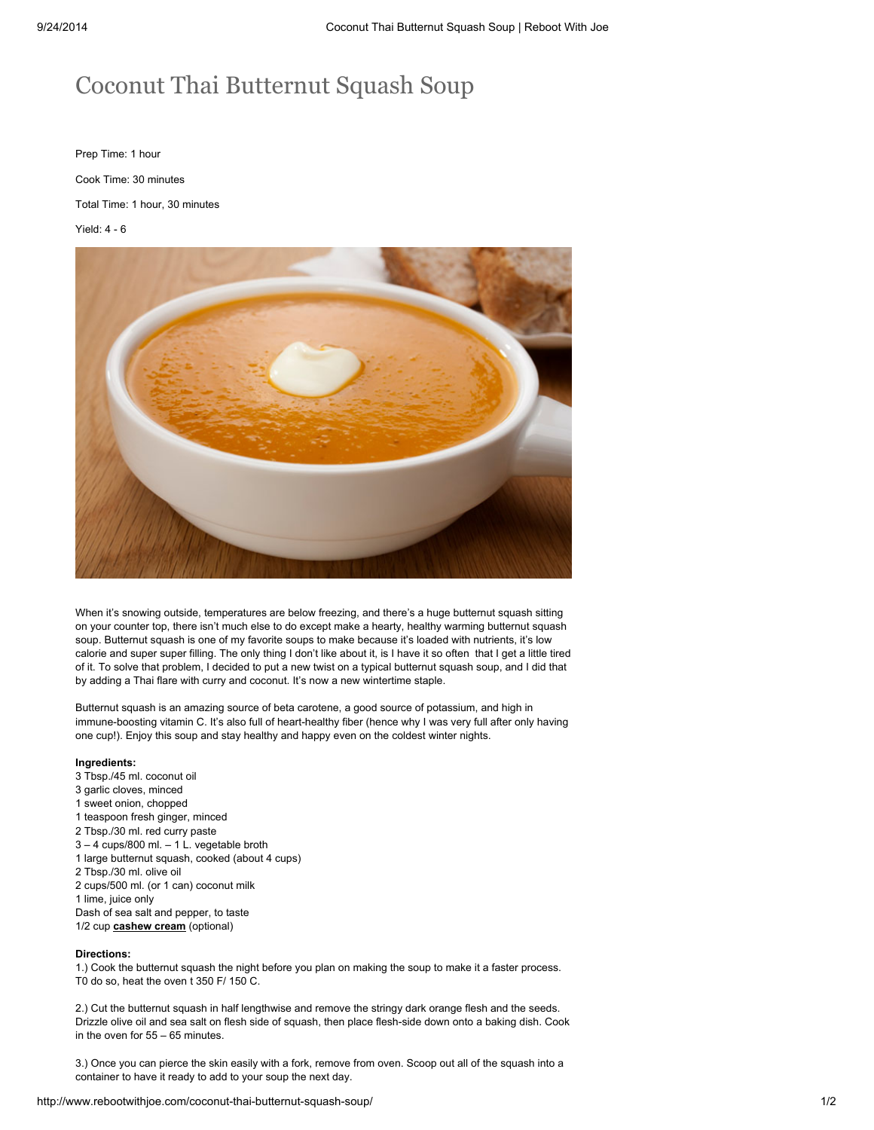## Coconut Thai Butternut Squash Soup

Prep Time: 1 hour Cook Time: 30 minutes Total Time: 1 hour, 30 minutes Yield: 4 - 6



When it's snowing outside, temperatures are below freezing, and there's a huge butternut squash sitting on your counter top, there isn't much else to do except make a hearty, healthy warming butternut squash soup. Butternut squash is one of my favorite soups to make because it's loaded with nutrients, it's low calorie and super super filling. The only thing I don't like about it, is I have it so often that I get a little tired of it. To solve that problem, I decided to put a new twist on a typical butternut squash soup, and I did that by adding a Thai flare with curry and coconut. It's now a new wintertime staple.

Butternut squash is an amazing source of beta carotene, a good source of potassium, and high in immune-boosting vitamin C. It's also full of heart-healthy fiber (hence why I was very full after only having one cup!). Enjoy this soup and stay healthy and happy even on the coldest winter nights.

## Ingredients:

 Tbsp./45 ml. coconut oil garlic cloves, minced sweet onion, chopped teaspoon fresh ginger, minced Tbsp./30 ml. red curry paste – 4 cups/800 ml. – 1 L. vegetable broth large butternut squash, cooked (about 4 cups) Tbsp./30 ml. olive oil cups/500 ml. (or 1 can) coconut milk lime, juice only Dash of sea salt and pepper, to taste 1/2 cup **[cashew](http://www.rebootwithjoe.com/savory-or-sweet-cashew-cream/) cream** (optional)

## Directions:

1.) Cook the butternut squash the night before you plan on making the soup to make it a faster process. T0 do so, heat the oven t 350 F/ 150 C.

2.) Cut the butternut squash in half lengthwise and remove the stringy dark orange flesh and the seeds. Drizzle olive oil and sea salt on flesh side of squash, then place flesh-side down onto a baking dish. Cook in the oven for 55 – 65 minutes.

3.) Once you can pierce the skin easily with a fork, remove from oven. Scoop out all of the squash into a container to have it ready to add to your soup the next day.